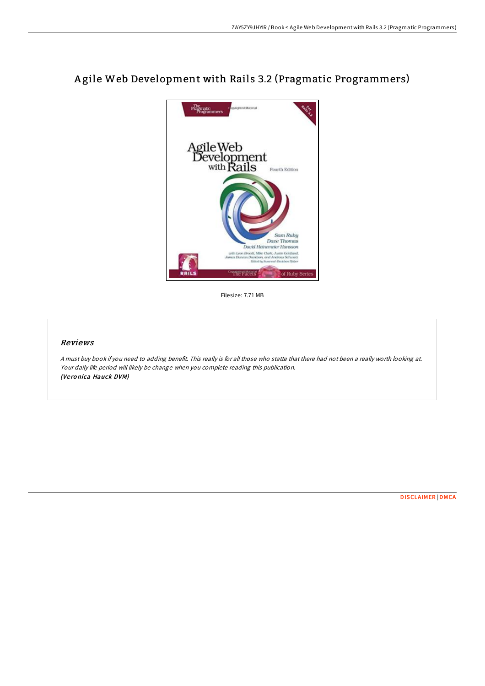

A gile Web Development with Rails 3.2 (Pragmatic Programmers)

Filesize: 7.71 MB

## Reviews

<sup>A</sup> must buy book if you need to adding benefit. This really is for all those who statte that there had not been <sup>a</sup> really worth looking at. Your daily life period will likely be change when you complete reading this publication. (Ve ro nica Hauck DVM)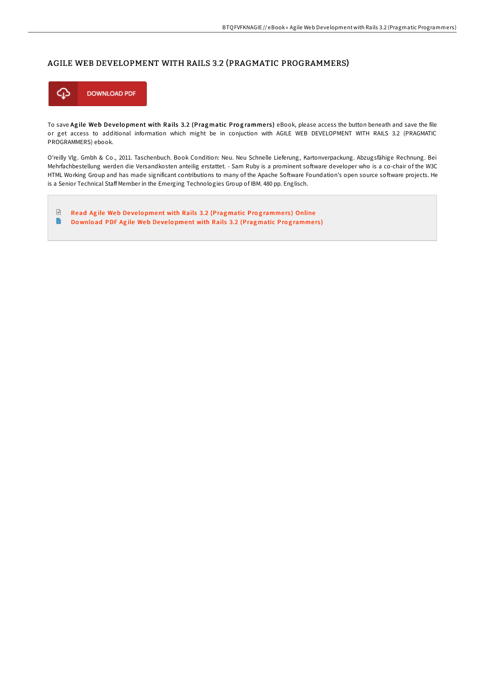## AGILE WEB DEVELOPMENT WITH RAILS 3.2 (PRAGMATIC PROGRAMMERS)



To save Agile Web Development with Rails 3.2 (Pragmatic Programmers) eBook, please access the button beneath and save the file or get access to additional information which might be in conjuction with AGILE WEB DEVELOPMENT WITH RAILS 3.2 (PRAGMATIC PROGRAMMERS) ebook.

O'reilly Vlg. Gmbh & Co., 2011. Taschenbuch. Book Condition: Neu. Neu Schnelle Lieferung, Kartonverpackung. Abzugsfähige Rechnung. Bei Mehrfachbestellung werden die Versandkosten anteilig erstattet. - Sam Ruby is a prominent soFware developer who is a co-chair of the W3C HTML Working Group and has made significant contributions to many of the Apache Software Foundation's open source software projects. He is a Senior Technical Staff Member in the Emerging Technologies Group of IBM. 480 pp. Englisch.

 $\ensuremath{\mathop\square}\xspace$ Read Agile Web Development with Rails 3.2 (Pragmatic Prog[ramme](http://almighty24.tech/agile-web-development-with-rails-3-2-pragmatic-p.html)rs) Online  $\blacksquare$ Do wnload PDF Agile Web Development with Rails 3.2 (Pragmatic Prog[ramme](http://almighty24.tech/agile-web-development-with-rails-3-2-pragmatic-p.html)rs)